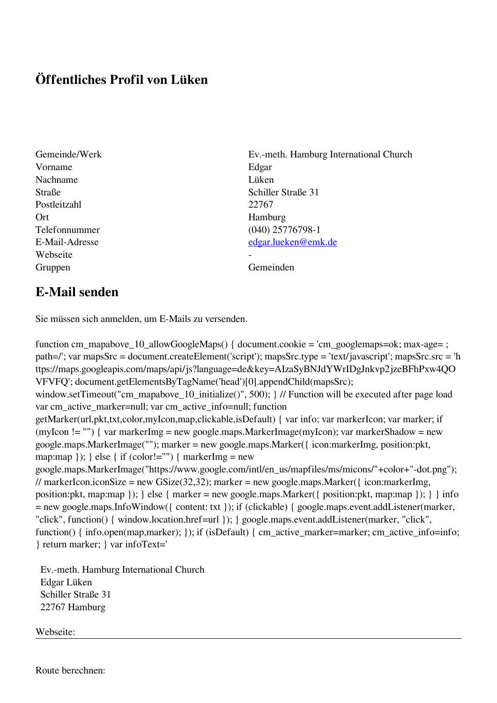## **Öffentliches Profil von Lüken**

- Vorname Edgar Nachname Lüken Postleitzahl 22767 Ort Hamburg Webseite Gruppen Gemeinden Gemeinden Gemeinden Gemeinden Gemeinden Gemeinden Gemeinden Gemeinden Gemeinden Gemeinden G
- Gemeinde/Werk Ev.-meth. Hamburg International Church Straße Schiller Straße 31 Telefonnummer (040) 25776798-1 E-Mail-Adresse [edgar.lueken@emk.de](mailto:edgar.lueken@emk.de)

## **E-Mail senden**

Sie müssen sich anmelden, um E-Mails zu versenden.

function cm\_mapabove\_10\_allowGoogleMaps() { document.cookie = 'cm\_googlemaps=ok; max-age= ; path=/'; var mapsSrc = document.createElement('script'); mapsSrc.type = 'text/javascript'; mapsSrc.src = 'h ttps://maps.googleapis.com/maps/api/js?language=de&key=AIzaSyBNJdYWrIDgJnkvp2jzeBFhPxw4QO VFVFQ'; document.getElementsByTagName('head')[0].appendChild(mapsSrc); window.setTimeout("cm\_mapabove\_10\_initialize()", 500); } // Function will be executed after page load var cm\_active\_marker=null; var cm\_active\_info=null; function getMarker(url,pkt,txt,color,myIcon,map,clickable,isDefault) { var info; var markerIcon; var marker; if (myIcon != "") { var markerImg = new google.maps.MarkerImage(myIcon); var markerShadow = new google.maps.MarkerImage(""); marker = new google.maps.Marker({ icon:markerImg, position:pkt, map:map  $\}$ ;  $\}$  else  $\{$  if (color!="")  $\{$  markerImg = new google.maps.MarkerImage("https://www.google.com/intl/en\_us/mapfiles/ms/micons/"+color+"-dot.png"); // markerIcon.iconSize = new GSize(32,32); marker = new google.maps.Marker({ $i$ con:markerImg, position:pkt, map:map }); } else { marker = new google.maps.Marker({ position:pkt, map:map }); } } info = new google.maps.InfoWindow({ content: txt }); if (clickable) { google.maps.event.addListener(marker, "click", function() { window.location.href=url }); } google.maps.event.addListener(marker, "click", function() { info.open(map,marker); }); if (isDefault) { cm\_active\_marker=marker; cm\_active\_info=info; } return marker; } var infoText='

 Ev.-meth. Hamburg International Church Edgar Lüken Schiller Straße 31 22767 Hamburg

Webseite:

Route berechnen: